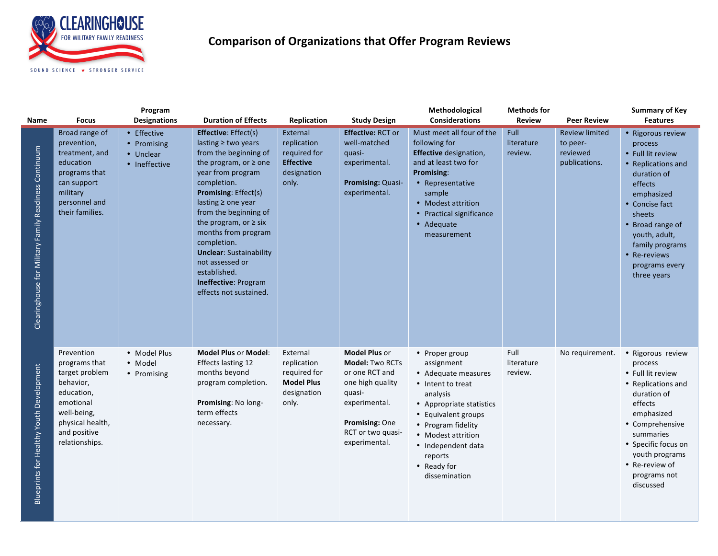

## **Comparison of Organizations that Offer Program Reviews**

| Name                                                  | <b>Focus</b>                                                                                                                                               | Program<br><b>Designations</b>                           | <b>Duration of Effects</b>                                                                                                                                                                                                                                                                                                                                                                                                      | Replication                                                                          | <b>Study Design</b>                                                                                                                                                     | Methodological<br><b>Considerations</b>                                                                                                                                                                                                              | <b>Methods for</b><br><b>Review</b> | <b>Peer Review</b>                                             | <b>Summary of Key</b><br><b>Features</b>                                                                                                                                                                                                             |
|-------------------------------------------------------|------------------------------------------------------------------------------------------------------------------------------------------------------------|----------------------------------------------------------|---------------------------------------------------------------------------------------------------------------------------------------------------------------------------------------------------------------------------------------------------------------------------------------------------------------------------------------------------------------------------------------------------------------------------------|--------------------------------------------------------------------------------------|-------------------------------------------------------------------------------------------------------------------------------------------------------------------------|------------------------------------------------------------------------------------------------------------------------------------------------------------------------------------------------------------------------------------------------------|-------------------------------------|----------------------------------------------------------------|------------------------------------------------------------------------------------------------------------------------------------------------------------------------------------------------------------------------------------------------------|
| Clearinghouse for Military Family Readiness Continuum | Broad range of<br>prevention,<br>treatment, and<br>education<br>programs that<br>can support<br>military<br>personnel and<br>their families.               | • Effective<br>• Promising<br>• Unclear<br>• Ineffective | <b>Effective:</b> Effect(s)<br>lasting $\geq$ two years<br>from the beginning of<br>the program, or $\ge$ one<br>year from program<br>completion.<br><b>Promising: Effect(s)</b><br>lasting $\geq$ one year<br>from the beginning of<br>the program, or $\geq$ six<br>months from program<br>completion.<br><b>Unclear: Sustainability</b><br>not assessed or<br>established.<br>Ineffective: Program<br>effects not sustained. | External<br>replication<br>required for<br><b>Effective</b><br>designation<br>only.  | <b>Effective: RCT or</b><br>well-matched<br>quasi-<br>experimental.<br>Promising: Quasi-<br>experimental.                                                               | Must meet all four of the<br>following for<br><b>Effective</b> designation,<br>and at least two for<br>Promising:<br>• Representative<br>sample<br>• Modest attrition<br>• Practical significance<br>• Adequate<br>measurement                       | Full<br>literature<br>review.       | <b>Review limited</b><br>to peer-<br>reviewed<br>publications. | • Rigorous review<br>process<br>• Full lit review<br>• Replications and<br>duration of<br>effects<br>emphasized<br>• Concise fact<br>sheets<br>• Broad range of<br>youth, adult,<br>family programs<br>• Re-reviews<br>programs every<br>three years |
| Blueprints for Healthy Youth Development              | Prevention<br>programs that<br>target problem<br>behavior,<br>education,<br>emotional<br>well-being,<br>physical health,<br>and positive<br>relationships. | • Model Plus<br>· Model<br>• Promising                   | <b>Model Plus or Model:</b><br><b>Effects lasting 12</b><br>months beyond<br>program completion.<br>Promising: No long-<br>term effects<br>necessary.                                                                                                                                                                                                                                                                           | External<br>replication<br>required for<br><b>Model Plus</b><br>designation<br>only. | <b>Model Plus or</b><br><b>Model: Two RCTs</b><br>or one RCT and<br>one high quality<br>quasi-<br>experimental.<br>Promising: One<br>RCT or two quasi-<br>experimental. | • Proper group<br>assignment<br>• Adequate measures<br>• Intent to treat<br>analysis<br>• Appropriate statistics<br>• Equivalent groups<br>• Program fidelity<br>• Modest attrition<br>• Independent data<br>reports<br>• Ready for<br>dissemination | Full<br>literature<br>review.       | No requirement.                                                | • Rigorous review<br>process<br>• Full lit review<br>• Replications and<br>duration of<br>effects<br>emphasized<br>• Comprehensive<br>summaries<br>• Specific focus on<br>youth programs<br>• Re-review of<br>programs not<br>discussed              |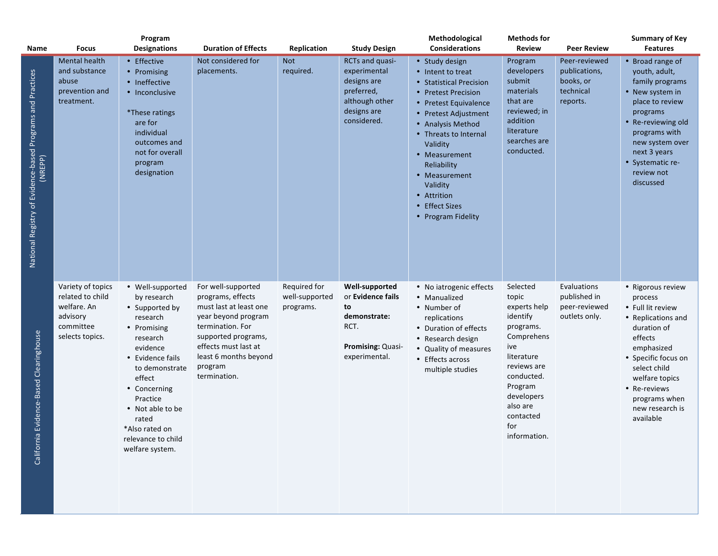| Name                                                                  | <b>Focus</b>                                                                                     | Program<br><b>Designations</b>                                                                                                                                                                                                                                           | <b>Duration of Effects</b>                                                                                                                                                                                      | Replication                                 | <b>Study Design</b>                                                                                          | Methodological<br><b>Considerations</b>                                                                                                                                                                                                                                                                                                   | <b>Methods for</b><br><b>Review</b>                                                                                                                                                                 | <b>Peer Review</b>                                                   | <b>Summary of Key</b><br><b>Features</b>                                                                                                                                                                                                  |
|-----------------------------------------------------------------------|--------------------------------------------------------------------------------------------------|--------------------------------------------------------------------------------------------------------------------------------------------------------------------------------------------------------------------------------------------------------------------------|-----------------------------------------------------------------------------------------------------------------------------------------------------------------------------------------------------------------|---------------------------------------------|--------------------------------------------------------------------------------------------------------------|-------------------------------------------------------------------------------------------------------------------------------------------------------------------------------------------------------------------------------------------------------------------------------------------------------------------------------------------|-----------------------------------------------------------------------------------------------------------------------------------------------------------------------------------------------------|----------------------------------------------------------------------|-------------------------------------------------------------------------------------------------------------------------------------------------------------------------------------------------------------------------------------------|
| National Registry of Evidence-based Programs and Practices<br>(NREPP) | <b>Mental health</b><br>and substance<br>abuse<br>prevention and<br>treatment.                   | • Effective<br>• Promising<br>• Ineffective<br>• Inconclusive<br>*These ratings<br>are for<br>individual<br>outcomes and<br>not for overall<br>program<br>designation                                                                                                    | Not considered for<br>placements.                                                                                                                                                                               | <b>Not</b><br>required.                     | RCTs and quasi-<br>experimental<br>designs are<br>preferred,<br>although other<br>designs are<br>considered. | • Study design<br>• Intent to treat<br><b>Statistical Precision</b><br><b>Pretest Precision</b><br>$\bullet$<br>• Pretest Equivalence<br>Pretest Adjustment<br>• Analysis Method<br>• Threats to Internal<br>Validity<br>• Measurement<br>Reliability<br>• Measurement<br>Validity<br>• Attrition<br>• Effect Sizes<br>• Program Fidelity | Program<br>developers<br>submit<br>materials<br>that are<br>reviewed; in<br>addition<br>literature<br>searches are<br>conducted.                                                                    | Peer-reviewed<br>publications,<br>books, or<br>technical<br>reports. | • Broad range of<br>youth, adult,<br>family programs<br>• New system in<br>place to review<br>programs<br>• Re-reviewing old<br>programs with<br>new system over<br>next 3 years<br>• Systematic re-<br>review not<br>discussed           |
| California Evidence-Based Clearinghouse                               | Variety of topics<br>related to child<br>welfare. An<br>advisory<br>committee<br>selects topics. | • Well-supported<br>by research<br>• Supported by<br>research<br>• Promising<br>research<br>evidence<br>• Evidence fails<br>to demonstrate<br>effect<br>• Concerning<br>Practice<br>• Not able to be<br>rated<br>*Also rated on<br>relevance to child<br>welfare system. | For well-supported<br>programs, effects<br>must last at least one<br>year beyond program<br>termination. For<br>supported programs,<br>effects must last at<br>least 6 months beyond<br>program<br>termination. | Required for<br>well-supported<br>programs. | Well-supported<br>or Evidence fails<br>to<br>demonstrate:<br>RCT.<br>Promising: Quasi-<br>experimental.      | • No iatrogenic effects<br>• Manualized<br>• Number of<br>replications<br>• Duration of effects<br>• Research design<br><b>Quality of measures</b><br>• Effects across<br>multiple studies                                                                                                                                                | Selected<br>topic<br>experts help<br>identify<br>programs.<br>Comprehens<br>ive<br>literature<br>reviews are<br>conducted.<br>Program<br>developers<br>also are<br>contacted<br>for<br>information. | Evaluations<br>published in<br>peer-reviewed<br>outlets only.        | • Rigorous review<br>process<br>• Full lit review<br>• Replications and<br>duration of<br>effects<br>emphasized<br>• Specific focus on<br>select child<br>welfare topics<br>• Re-reviews<br>programs when<br>new research is<br>available |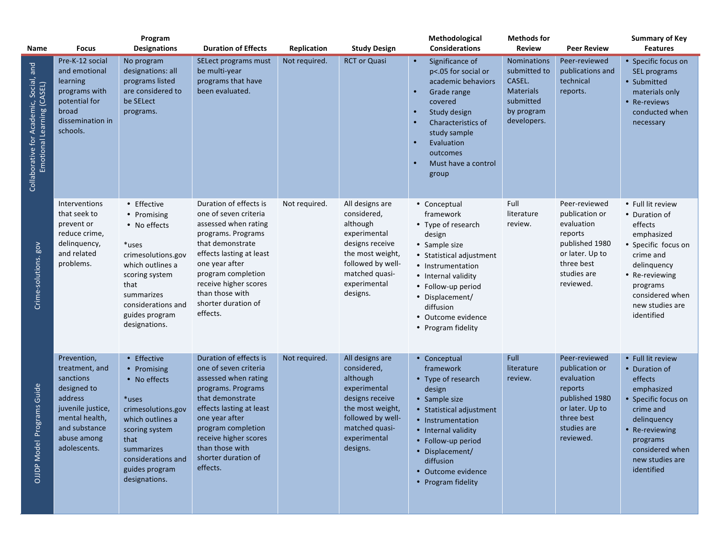| Name                                                                  | <b>Focus</b>                                                                                                                                                | Program<br><b>Designations</b>                                                                                                                                                                 | <b>Duration of Effects</b>                                                                                                                                                                                                                                           | Replication   | <b>Study Design</b>                                                                                                                                                  | Methodological<br><b>Considerations</b>                                                                                                                                                                                                              | <b>Methods for</b><br><b>Review</b>                                                                 | <b>Peer Review</b>                                                                                                                      | <b>Summary of Key</b><br><b>Features</b>                                                                                                                                                         |
|-----------------------------------------------------------------------|-------------------------------------------------------------------------------------------------------------------------------------------------------------|------------------------------------------------------------------------------------------------------------------------------------------------------------------------------------------------|----------------------------------------------------------------------------------------------------------------------------------------------------------------------------------------------------------------------------------------------------------------------|---------------|----------------------------------------------------------------------------------------------------------------------------------------------------------------------|------------------------------------------------------------------------------------------------------------------------------------------------------------------------------------------------------------------------------------------------------|-----------------------------------------------------------------------------------------------------|-----------------------------------------------------------------------------------------------------------------------------------------|--------------------------------------------------------------------------------------------------------------------------------------------------------------------------------------------------|
| Collaborative for Academic, Social, and<br>Emotional Learning (CASEL) | Pre-K-12 social<br>and emotional<br>learning<br>programs with<br>potential for<br>broad<br>dissemination in<br>schools.                                     | No program<br>designations: all<br>programs listed<br>are considered to<br>be SELect<br>programs.                                                                                              | SELect programs must<br>be multi-year<br>programs that have<br>been evaluated.                                                                                                                                                                                       | Not required. | <b>RCT or Quasi</b>                                                                                                                                                  | Significance of<br>p<.05 for social or<br>academic behaviors<br>Grade range<br>covered<br>Study design<br>Characteristics of<br>study sample<br>Evaluation<br>outcomes<br>Must have a control<br>group                                               | Nominations<br>submitted to<br>CASEL.<br><b>Materials</b><br>submitted<br>by program<br>developers. | Peer-reviewed<br>publications and<br>technical<br>reports.                                                                              | • Specific focus on<br>SEL programs<br>• Submitted<br>materials only<br>• Re-reviews<br>conducted when<br>necessary                                                                              |
| <b>NOB</b><br>Crime-solutions.                                        | Interventions<br>that seek to<br>prevent or<br>reduce crime,<br>delinquency,<br>and related<br>problems.                                                    | • Effective<br>• Promising<br>• No effects<br>*uses<br>crimesolutions.gov<br>which outlines a<br>scoring system<br>that<br>summarizes<br>considerations and<br>guides program<br>designations. | Duration of effects is<br>one of seven criteria<br>assessed when rating<br>programs. Programs<br>that demonstrate<br>effects lasting at least<br>one year after<br>program completion<br>receive higher scores<br>than those with<br>shorter duration of<br>effects. | Not required. | All designs are<br>considered,<br>although<br>experimental<br>designs receive<br>the most weight,<br>followed by well-<br>matched quasi-<br>experimental<br>designs. | • Conceptual<br>framework<br>• Type of research<br>design<br>• Sample size<br>• Statistical adjustment<br>• Instrumentation<br>• Internal validity<br>• Follow-up period<br>• Displacement/<br>diffusion<br>• Outcome evidence<br>• Program fidelity | Full<br>literature<br>review.                                                                       | Peer-reviewed<br>publication or<br>evaluation<br>reports<br>published 1980<br>or later. Up to<br>three best<br>studies are<br>reviewed. | • Full lit review<br>• Duration of<br>effects<br>emphasized<br>• Specific focus on<br>crime and<br>delinquency<br>• Re-reviewing<br>programs<br>considered when<br>new studies are<br>identified |
| Programs Guide<br><b>OJJDP Model</b>                                  | Prevention,<br>treatment, and<br>sanctions<br>designed to<br>address<br>juvenile justice,<br>mental health,<br>and substance<br>abuse among<br>adolescents. | • Effective<br>• Promising<br>• No effects<br>*uses<br>crimesolutions.gov<br>which outlines a<br>scoring system<br>that<br>summarizes<br>considerations and<br>guides program<br>designations. | Duration of effects is<br>one of seven criteria<br>assessed when rating<br>programs. Programs<br>that demonstrate<br>effects lasting at least<br>one year after<br>program completion<br>receive higher scores<br>than those with<br>shorter duration of<br>effects. | Not required. | All designs are<br>considered,<br>although<br>experimental<br>designs receive<br>the most weight,<br>followed by well-<br>matched quasi-<br>experimental<br>designs. | • Conceptual<br>framework<br>• Type of research<br>design<br>• Sample size<br>• Statistical adjustment<br>• Instrumentation<br>• Internal validity<br>• Follow-up period<br>• Displacement/<br>diffusion<br>• Outcome evidence<br>• Program fidelity | Full<br>literature<br>review.                                                                       | Peer-reviewed<br>publication or<br>evaluation<br>reports<br>published 1980<br>or later. Up to<br>three best<br>studies are<br>reviewed. | • Full lit review<br>• Duration of<br>effects<br>emphasized<br>• Specific focus on<br>crime and<br>delinquency<br>• Re-reviewing<br>programs<br>considered when<br>new studies are<br>identified |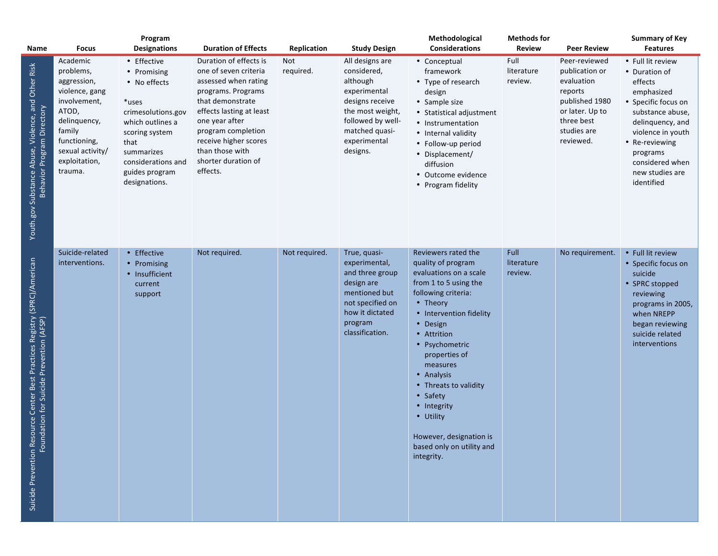| Name                                                                                                                           | <b>Focus</b>                                                                                                                                                              | Program<br><b>Designations</b>                                                                                                                                                                 | <b>Duration of Effects</b>                                                                                                                                                                                                                                           | Replication      | <b>Study Design</b>                                                                                                                                                  | Methodological<br><b>Considerations</b>                                                                                                                                                                                                                                                                                                                                                            | <b>Methods for</b><br><b>Review</b> | <b>Peer Review</b>                                                                                                                      | <b>Summary of Key</b><br><b>Features</b>                                                                                                                                                                                          |
|--------------------------------------------------------------------------------------------------------------------------------|---------------------------------------------------------------------------------------------------------------------------------------------------------------------------|------------------------------------------------------------------------------------------------------------------------------------------------------------------------------------------------|----------------------------------------------------------------------------------------------------------------------------------------------------------------------------------------------------------------------------------------------------------------------|------------------|----------------------------------------------------------------------------------------------------------------------------------------------------------------------|----------------------------------------------------------------------------------------------------------------------------------------------------------------------------------------------------------------------------------------------------------------------------------------------------------------------------------------------------------------------------------------------------|-------------------------------------|-----------------------------------------------------------------------------------------------------------------------------------------|-----------------------------------------------------------------------------------------------------------------------------------------------------------------------------------------------------------------------------------|
| Youth.gov Substance Abuse, Violence, and Other Risk<br>Directory<br>Program<br><b>Behavior</b>                                 | Academic<br>problems,<br>aggression,<br>violence, gang<br>involvement,<br>ATOD,<br>delinquency,<br>family<br>functioning,<br>sexual activity/<br>exploitation,<br>trauma. | • Effective<br>• Promising<br>• No effects<br>*uses<br>crimesolutions.gov<br>which outlines a<br>scoring system<br>that<br>summarizes<br>considerations and<br>guides program<br>designations. | Duration of effects is<br>one of seven criteria<br>assessed when rating<br>programs. Programs<br>that demonstrate<br>effects lasting at least<br>one year after<br>program completion<br>receive higher scores<br>than those with<br>shorter duration of<br>effects. | Not<br>required. | All designs are<br>considered,<br>although<br>experimental<br>designs receive<br>the most weight,<br>followed by well-<br>matched quasi-<br>experimental<br>designs. | • Conceptual<br>framework<br>• Type of research<br>design<br>• Sample size<br>• Statistical adjustment<br>• Instrumentation<br>• Internal validity<br>• Follow-up period<br>• Displacement/<br>diffusion<br>Outcome evidence<br>• Program fidelity                                                                                                                                                 | Full<br>literature<br>review.       | Peer-reviewed<br>publication or<br>evaluation<br>reports<br>published 1980<br>or later. Up to<br>three best<br>studies are<br>reviewed. | • Full lit review<br>• Duration of<br>effects<br>emphasized<br>• Specific focus on<br>substance abuse,<br>delinquency, and<br>violence in youth<br>• Re-reviewing<br>programs<br>considered when<br>new studies are<br>identified |
| source Center Best Practices Registry (SPRC)/American<br>ndation for Suicide Prevention (AFSP)<br>Suicide Prevention Re<br>Fou | Suicide-related<br>interventions.                                                                                                                                         | Effective<br>$\bullet$<br>Promising<br>$\bullet$<br>• Insufficient<br>current<br>support                                                                                                       | Not required.                                                                                                                                                                                                                                                        | Not required.    | True, quasi-<br>experimental,<br>and three group<br>design are<br>mentioned but<br>not specified on<br>how it dictated<br>program<br>classification.                 | Reviewers rated the<br>quality of program<br>evaluations on a scale<br>from 1 to 5 using the<br>following criteria:<br>• Theory<br>• Intervention fidelity<br>Design<br>• Attrition<br>• Psychometric<br>properties of<br>measures<br>• Analysis<br>• Threats to validity<br>Safety<br>$\bullet$<br>• Integrity<br>• Utility<br>However, designation is<br>based only on utility and<br>integrity. | Full<br>literature<br>review.       | No requirement.                                                                                                                         | • Full lit review<br>• Specific focus on<br>suicide<br>• SPRC stopped<br>reviewing<br>programs in 2005,<br>when NREPP<br>began reviewing<br>suicide related<br>interventions                                                      |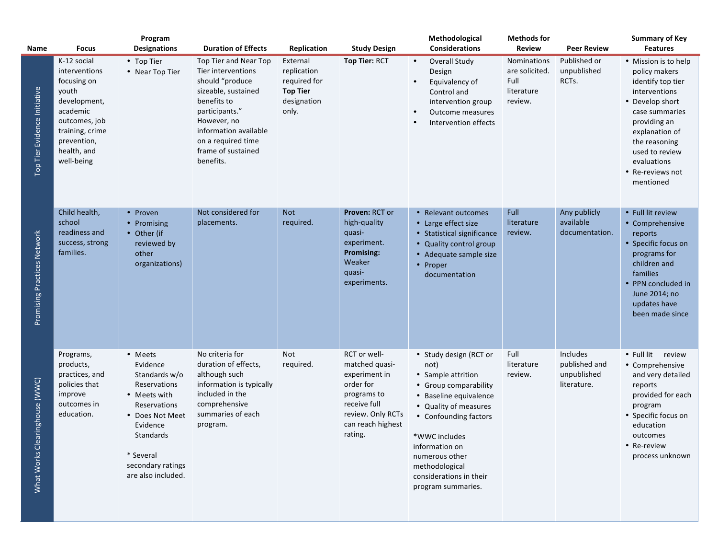| Name                                | <b>Focus</b>                                                                                                                                                     | Program<br><b>Designations</b>                                                                                                                                                           | <b>Duration of Effects</b>                                                                                                                                                                                              | Replication                                                                        | <b>Study Design</b>                                                                                                                              |           | Methodological<br><b>Considerations</b>                                                                                                                                                                                                                                           | <b>Methods for</b><br><b>Review</b>                            | <b>Peer Review</b>                                      | <b>Summary of Key</b><br><b>Features</b>                                                                                                                                                                                              |
|-------------------------------------|------------------------------------------------------------------------------------------------------------------------------------------------------------------|------------------------------------------------------------------------------------------------------------------------------------------------------------------------------------------|-------------------------------------------------------------------------------------------------------------------------------------------------------------------------------------------------------------------------|------------------------------------------------------------------------------------|--------------------------------------------------------------------------------------------------------------------------------------------------|-----------|-----------------------------------------------------------------------------------------------------------------------------------------------------------------------------------------------------------------------------------------------------------------------------------|----------------------------------------------------------------|---------------------------------------------------------|---------------------------------------------------------------------------------------------------------------------------------------------------------------------------------------------------------------------------------------|
| Top Tier Evidence Initiative        | K-12 social<br>interventions<br>focusing on<br>youth<br>development,<br>academic<br>outcomes, job<br>training, crime<br>prevention,<br>health, and<br>well-being | • Top Tier<br>• Near Top Tier                                                                                                                                                            | Top Tier and Near Top<br>Tier interventions<br>should "produce<br>sizeable, sustained<br>benefits to<br>participants."<br>However, no<br>information available<br>on a required time<br>frame of sustained<br>benefits. | External<br>replication<br>required for<br><b>Top Tier</b><br>designation<br>only. | Top Tier: RCT                                                                                                                                    | $\bullet$ | <b>Overall Study</b><br>Design<br>Equivalency of<br>Control and<br>intervention group<br>Outcome measures<br>Intervention effects                                                                                                                                                 | Nominations<br>are solicited.<br>Full<br>literature<br>review. | Published or<br>unpublished<br>RCT <sub>S</sub> .       | • Mission is to help<br>policy makers<br>identify top tier<br>interventions<br>• Develop short<br>case summaries<br>providing an<br>explanation of<br>the reasoning<br>used to review<br>evaluations<br>• Re-reviews not<br>mentioned |
| Promising Practices Network         | Child health,<br>school<br>readiness and<br>success, strong<br>families.                                                                                         | • Proven<br>• Promising<br>• Other (if<br>reviewed by<br>other<br>organizations)                                                                                                         | Not considered for<br>placements.                                                                                                                                                                                       | <b>Not</b><br>required.                                                            | Proven: RCT or<br>high-quality<br>quasi-<br>experiment.<br><b>Promising:</b><br>Weaker<br>quasi-<br>experiments.                                 |           | • Relevant outcomes<br>• Large effect size<br>• Statistical significance<br>• Quality control group<br>• Adequate sample size<br>• Proper<br>documentation                                                                                                                        | Full<br>literature<br>review.                                  | Any publicly<br>available<br>documentation.             | • Full lit review<br>• Comprehensive<br>reports<br>• Specific focus on<br>programs for<br>children and<br>families<br>PPN concluded in<br>June 2014; no<br>updates have<br>been made since                                            |
| aringhouse (WWC)<br>What Works Clea | Programs,<br>products,<br>practices, and<br>policies that<br>improve<br>outcomes in<br>education.                                                                | • Meets<br>Evidence<br>Standards w/o<br>Reservations<br>• Meets with<br>Reservations<br>• Does Not Meet<br>Evidence<br>Standards<br>* Several<br>secondary ratings<br>are also included. | No criteria for<br>duration of effects,<br>although such<br>information is typically<br>included in the<br>comprehensive<br>summaries of each<br>program.                                                               | Not<br>required.                                                                   | RCT or well-<br>matched quasi-<br>experiment in<br>order for<br>programs to<br>receive full<br>review. Only RCTs<br>can reach highest<br>rating. |           | • Study design (RCT or<br>not)<br>• Sample attrition<br>• Group comparability<br>• Baseline equivalence<br>• Quality of measures<br>• Confounding factors<br>*WWC includes<br>information on<br>numerous other<br>methodological<br>considerations in their<br>program summaries. | Full<br>literature<br>review.                                  | Includes<br>published and<br>unpublished<br>literature. | • Full lit<br>review<br>• Comprehensive<br>and very detailed<br>reports<br>provided for each<br>program<br>• Specific focus on<br>education<br>outcomes<br>• Re-review<br>process unknown                                             |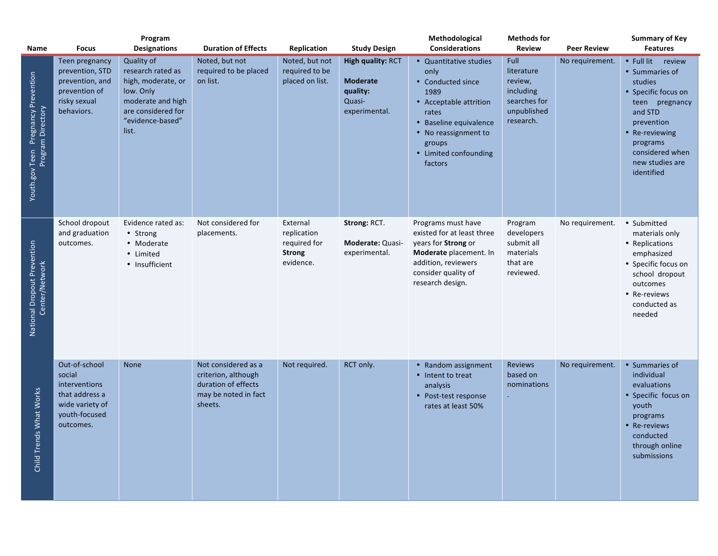| Name                                                     | <b>Focus</b>                                                                                                | Program<br><b>Designations</b>                                                                                                             | <b>Duration of Effects</b>                                                                           | Replication                                                           | <b>Study Design</b>                                                         | Methodological<br><b>Considerations</b>                                                                                                                                                        | <b>Methods for</b><br>Review                                                           | <b>Peer Review</b> | <b>Summary of Key</b><br><b>Features</b>                                                                                                                                                         |
|----------------------------------------------------------|-------------------------------------------------------------------------------------------------------------|--------------------------------------------------------------------------------------------------------------------------------------------|------------------------------------------------------------------------------------------------------|-----------------------------------------------------------------------|-----------------------------------------------------------------------------|------------------------------------------------------------------------------------------------------------------------------------------------------------------------------------------------|----------------------------------------------------------------------------------------|--------------------|--------------------------------------------------------------------------------------------------------------------------------------------------------------------------------------------------|
| Youth.gov Teen Pregnancy Prevention<br>Program Directory | Teen pregnancy<br>prevention, STD<br>prevention, and<br>prevention of<br>risky sexual<br>behaviors.         | Quality of<br>research rated as<br>high, moderate, or<br>low. Only<br>moderate and high<br>are considered for<br>"evidence-based"<br>list. | Noted, but not<br>required to be placed<br>on list.                                                  | Noted, but not<br>required to be<br>placed on list.                   | High quality: RCT<br><b>Moderate</b><br>quality:<br>Quasi-<br>experimental. | • Quantitative studies<br>only<br>• Conducted since<br>1989<br>• Acceptable attrition<br>rates<br>• Baseline equivalence<br>• No reassignment to<br>groups<br>• Limited confounding<br>factors | Full<br>literature<br>review,<br>including<br>searches for<br>unpublished<br>research. | No requirement.    | • Full lit review<br>• Summaries of<br>studies<br>• Specific focus on<br>teen pregnancy<br>and STD<br>prevention<br>Re-reviewing<br>programs<br>considered when<br>new studies are<br>identified |
| National Dropout Prevention<br>Center/Network            | School dropout<br>and graduation<br>outcomes.                                                               | Evidence rated as:<br>• Strong<br>• Moderate<br>• Limited<br>• Insufficient                                                                | Not considered for<br>placements.                                                                    | External<br>replication<br>required for<br><b>Strong</b><br>evidence. | Strong: RCT.<br>Moderate: Quasi-<br>experimental.                           | Programs must have<br>existed for at least three<br>years for Strong or<br>Moderate placement. In<br>addition, reviewers<br>consider quality of<br>research design.                            | Program<br>developers<br>submit all<br>materials<br>that are<br>reviewed.              | No requirement.    | • Submitted<br>materials only<br>• Replications<br>emphasized<br>• Specific focus on<br>school dropout<br>outcomes<br>• Re-reviews<br>conducted as<br>needed                                     |
| Child Trends What Works                                  | Out-of-school<br>social<br>interventions<br>that address a<br>wide variety of<br>youth-focused<br>outcomes. | None                                                                                                                                       | Not considered as a<br>criterion, although<br>duration of effects<br>may be noted in fact<br>sheets. | Not required.                                                         | RCT only.                                                                   | • Random assignment<br>• Intent to treat<br>analysis<br>• Post-test response<br>rates at least 50%                                                                                             | <b>Reviews</b><br>based on<br>nominations<br>$\bullet$                                 | No requirement.    | • Summaries of<br>individual<br>evaluations<br>Specific focus on<br>youth<br>programs<br>Re-reviews<br>conducted<br>through online<br>submissions                                                |